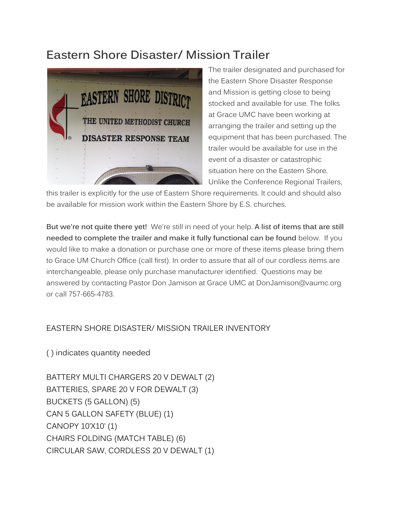## **Eastern Shore Disaster/ Mission Trailer**



The trailer designated and purchased for the Eastern Shore Disaster Response and Mission is getting close to being stocked and available for use. The folks at Grace UMC have been working at arranging the trailer and setting up the equipment that has been purchased. The trailer would be available for use in the event of a disaster or catastrophic situation here on the Eastern Shore. Unlike the Conference Regional Trailers,

this trailer is explicitly for the use of Eastern Shore requirements. It could and should also be available for mission work within the Eastern Shore by E.S. churches.

**But we're not quite there yet!** We're still in need of your help. **A list of items that are still needed to complete the trailer and make it fully functional can be found** below. If you would like to make a donation or purchase one or more of these items please bring them to Grace UM Church Office (call first). In order to assure that all of our cordless items are interchangeable, please only purchase manufacturer identified. Questions may be answered by contacting Pastor Don Jamison at Grace UMC at DonJamison@vaumc.org or call 757-665-4783.

## EASTERN SHORE DISASTER/ MISSION TRAILER INVENTORY

( ) indicates quantity needed

BATTERY MULTI CHARGERS 20 V DEWALT (2) BATTERIES, SPARE 20 V FOR DEWALT (3) BUCKETS (5 GALLON) (5) CAN 5 GALLON SAFETY (BLUE) (1) CANOPY 10'X10' (1) CHAIRS FOLDING (MATCH TABLE) (6) CIRCULAR SAW, CORDLESS 20 V DEWALT (1)